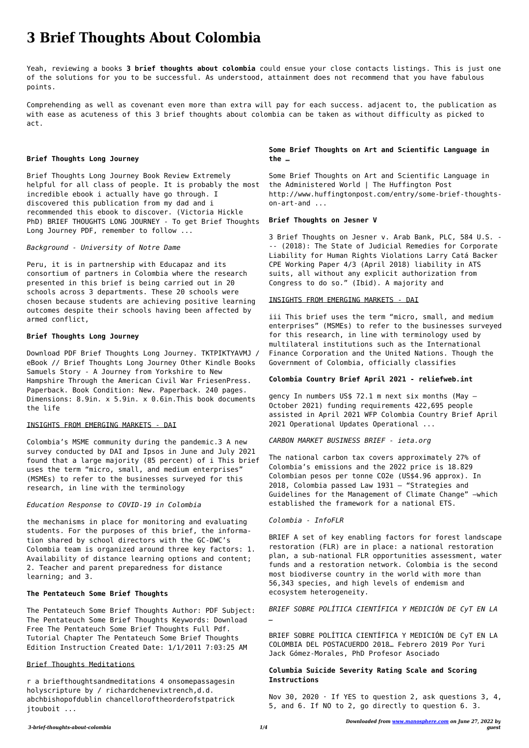*Downloaded from [www.manosphere.com](https://www.manosphere.com) on June 27, 2022 by guest*

# **3 Brief Thoughts About Colombia**

Yeah, reviewing a books **3 brief thoughts about colombia** could ensue your close contacts listings. This is just one of the solutions for you to be successful. As understood, attainment does not recommend that you have fabulous points.

Comprehending as well as covenant even more than extra will pay for each success. adjacent to, the publication as with ease as acuteness of this 3 brief thoughts about colombia can be taken as without difficulty as picked to act.

# **Brief Thoughts Long Journey**

Brief Thoughts Long Journey Book Review Extremely helpful for all class of people. It is probably the most incredible ebook i actually have go through. I discovered this publication from my dad and i recommended this ebook to discover. (Victoria Hickle PhD) BRIEF THOUGHTS LONG JOURNEY - To get Brief Thoughts Long Journey PDF, remember to follow ...

# *Background - University of Notre Dame*

Peru, it is in partnership with Educapaz and its consortium of partners in Colombia where the research presented in this brief is being carried out in 20 schools across 3 departments. These 20 schools were chosen because students are achieving positive learning outcomes despite their schools having been affected by armed conflict,

# **Brief Thoughts Long Journey**

Download PDF Brief Thoughts Long Journey. TKTPIKTYAVMJ / eBook // Brief Thoughts Long Journey Other Kindle Books Samuels Story - A Journey from Yorkshire to New Hampshire Through the American Civil War FriesenPress. Paperback. Book Condition: New. Paperback. 240 pages. Dimensions: 8.9in. x 5.9in. x 0.6in.This book documents the life

# INSIGHTS FROM EMERGING MARKETS - DAI

Colombia's MSME community during the pandemic.3 A new survey conducted by DAI and Ipsos in June and July 2021 found that a large majority (85 percent) of i This brief uses the term "micro, small, and medium enterprises" (MSMEs) to refer to the businesses surveyed for this research, in line with the terminology

# *Education Response to COVID-19 in Colombia*

the mechanisms in place for monitoring and evaluating students. For the purposes of this brief, the information shared by school directors with the GC-DWC's Colombia team is organized around three key factors: 1. Availability of distance learning options and content;

2. Teacher and parent preparedness for distance learning; and 3.

# **The Pentateuch Some Brief Thoughts**

Nov 30, 2020  $\cdot$  If YES to question 2, ask questions 3, 4, 5, and 6. If NO to 2, go directly to question 6. 3.

The Pentateuch Some Brief Thoughts Author: PDF Subject: The Pentateuch Some Brief Thoughts Keywords: Download Free The Pentateuch Some Brief Thoughts Full Pdf. Tutorial Chapter The Pentateuch Some Brief Thoughts Edition Instruction Created Date: 1/1/2011 7:03:25 AM

# Brief Thoughts Meditations

r a briefthoughtsandmeditations 4 onsomepassagesin holyscripture by / richardchenevixtrench,d.d. abchbishopofdublin chancelloroftheorderofstpatrick jtouboit ...

# **Some Brief Thoughts on Art and Scientific Language in the …**

Some Brief Thoughts on Art and Scientific Language in the Administered World | The Huffington Post http://www.huffingtonpost.com/entry/some-brief-thoughtson-art-and ...

# **Brief Thoughts on Jesner V**

3 Brief Thoughts on Jesner v. Arab Bank, PLC, 584 U.S. - -- (2018): The State of Judicial Remedies for Corporate Liability for Human Rights Violations Larry Catá Backer CPE Working Paper 4/3 (April 2018) liability in ATS suits, all without any explicit authorization from Congress to do so." (Ibid). A majority and

# INSIGHTS FROM EMERGING MARKETS - DAI

iii This brief uses the term "micro, small, and medium enterprises" (MSMEs) to refer to the businesses surveyed for this research, in line with terminology used by multilateral institutions such as the International Finance Corporation and the United Nations. Though the Government of Colombia, officially classifies

# **Colombia Country Brief April 2021 - reliefweb.int**

gency In numbers US\$ 72.1 m next six months (May – October 2021) funding requirements 422,695 people assisted in April 2021 WFP Colombia Country Brief April 2021 Operational Updates Operational ...

*CARBON MARKET BUSINESS BRIEF - ieta.org*

The national carbon tax covers approximately 27% of Colombia's emissions and the 2022 price is 18.829 Colombian pesos per tonne CO2e (US\$4.96 approx). In 2018, Colombia passed Law 1931 – "Strategies and Guidelines for the Management of Climate Change" –which established the framework for a national ETS.

# *Colombia - InfoFLR*

BRIEF A set of key enabling factors for forest landscape restoration (FLR) are in place: a national restoration plan, a sub-national FLR opportunities assessment, water funds and a restoration network. Colombia is the second most biodiverse country in the world with more than 56,343 species, and high levels of endemism and ecosystem heterogeneity.

*BRIEF SOBRE POLÍTICA CIENTÍFICA Y MEDICIÓN DE CyT EN LA …*

BRIEF SOBRE POLÍTICA CIENTÍFICA Y MEDICIÓN DE CyT EN LA COLOMBIA DEL POSTACUERDO 2018… Febrero 2019 Por Yuri Jack Gómez-Morales, PhD Profesor Asociado

# **Columbia Suicide Severity Rating Scale and Scoring Instructions**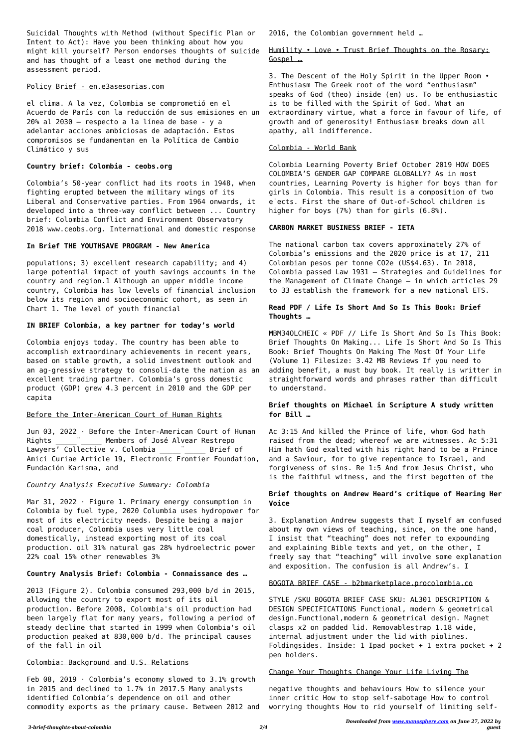Suicidal Thoughts with Method (without Specific Plan or Intent to Act): Have you been thinking about how you might kill yourself? Person endorses thoughts of suicide and has thought of a least one method during the assessment period.

#### Policy Brief - en.e3asesorias.com

el clima. A la vez, Colombia se comprometió en el Acuerdo de París con la reducción de sus emisiones en un 20% al 2030 – respecto a la línea de base - y a adelantar acciones ambiciosas de adaptación. Estos compromisos se fundamentan en la Política de Cambio Climático y sus

# **Country brief: Colombia - ceobs.org**

Colombia's 50-year conflict had its roots in 1948, when fighting erupted between the military wings of its Liberal and Conservative parties. From 1964 onwards, it developed into a three-way conflict between ... Country brief: Colombia Conflict and Environment Observatory 2018 www.ceobs.org. International and domestic response

# **In Brief THE YOUTHSAVE PROGRAM - New America**

populations; 3) excellent research capability; and 4) large potential impact of youth savings accounts in the country and region.1 Although an upper middle income country, Colombia has low levels of financial inclusion below its region and socioeconomic cohort, as seen in Chart 1. The level of youth financial

Mar 31, 2022 · Figure 1. Primary energy consumption in Colombia by fuel type, 2020 Columbia uses hydropower for most of its electricity needs. Despite being a major coal producer, Colombia uses very little coal domestically, instead exporting most of its coal production. oil 31% natural gas 28% hydroelectric power 22% coal 15% other renewables 3%

# **IN BRIEF Colombia, a key partner for today's world**

Feb 08, 2019  $\cdot$  Colombia's economy slowed to 3.1% growth in 2015 and declined to 1.7% in 2017.5 Many analysts identified Colombia's dependence on oil and other commodity exports as the primary cause. Between 2012 and

Colombia enjoys today. The country has been able to accomplish extraordinary achievements in recent years, based on stable growth, a solid investment outlook and an ag-gressive strategy to consoli-date the nation as an excellent trading partner. Colombia's gross domestic product (GDP) grew 4.3 percent in 2010 and the GDP per capita

# Before the Inter-American Court of Human Rights

Jun 03, 2022 · Before the Inter-American Court of Human Rights \_\_\_\_\_\_\_ "\_\_\_\_\_\_ Members of José Alvear Restrepo Lawyers' Collective v. Colombia \_\_\_\_\_\_\_ Brief of Amici Curiae Article 19, Electronic Frontier Foundation, Fundación Karisma, and

# *Country Analysis Executive Summary: Colombia*

**Country Analysis Brief: Colombia - Connaissance des …**

2013 (Figure 2). Colombia consumed 293,000 b/d in 2015, allowing the country to export most of its oil production. Before 2008, Colombia's oil production had been largely flat for many years, following a period of steady decline that started in 1999 when Colombia's oil production peaked at 830,000 b/d. The principal causes of the fall in oil

#### Colombia: Background and U.S. Relations

2016, the Colombian government held …

# Humility • Love • Trust Brief Thoughts on the Rosary: Gospel …

3. The Descent of the Holy Spirit in the Upper Room • Enthusiasm The Greek root of the word "enthusiasm" speaks of God (theo) inside (en) us. To be enthusiastic is to be filled with the Spirit of God. What an extraordinary virtue, what a force in favour of life, of growth and of generosity! Enthusiasm breaks down all apathy, all indifference.

# Colombia - World Bank

Colombia Learning Poverty Brief October 2019 HOW DOES COLOMBIA'S GENDER GAP COMPARE GLOBALLY? As in most countries, Learning Poverty is higher for boys than for girls in Colombia. This result is a composition of two e˙ects. First the share of Out-of-School children is higher for boys (7%) than for girls (6.8%).

# **CARBON MARKET BUSINESS BRIEF - IETA**

The national carbon tax covers approximately 27% of Colombia's emissions and the 2020 price is at 17, 211 Colombian pesos per tonne CO2e (US\$4.63). In 2018, Colombia passed Law 1931 – Strategies and Guidelines for the Management of Climate Change – in which articles 29 to 33 establish the framework for a new national ETS.

# **Read PDF / Life Is Short And So Is This Book: Brief Thoughts …**

MBM34OLCHEIC « PDF // Life Is Short And So Is This Book: Brief Thoughts On Making... Life Is Short And So Is This Book: Brief Thoughts On Making The Most Of Your Life (Volume 1) Filesize: 3.42 MB Reviews If you need to adding benefit, a must buy book. It really is writter in straightforward words and phrases rather than difficult to understand.

# **Brief thoughts on Michael in Scripture A study written for Bill …**

Ac 3:15 And killed the Prince of life, whom God hath raised from the dead; whereof we are witnesses. Ac 5:31 Him hath God exalted with his right hand to be a Prince and a Saviour, for to give repentance to Israel, and forgiveness of sins. Re 1:5 And from Jesus Christ, who is the faithful witness, and the first begotten of the

# **Brief thoughts on Andrew Heard's critique of Hearing Her Voice**

3. Explanation Andrew suggests that I myself am confused about my own views of teaching, since, on the one hand, I insist that "teaching" does not refer to expounding and explaining Bible texts and yet, on the other, I freely say that "teaching" will involve some explanation and exposition. The confusion is all Andrew's. I

#### BOGOTA BRIEF CASE - b2bmarketplace.procolombia.co

STYLE /SKU BOGOTA BRIEF CASE SKU: AL301 DESCRIPTION & DESIGN SPECIFICATIONS Functional, modern & geometrical design.Functional,modern & geometrical design. Magnet clasps x2 on padded lid. Removablestrap 1.18 wide, internal adjustment under the lid with piolines. Foldingsides. Inside: 1 Ipad pocket + 1 extra pocket + 2 pen holders.

#### Change Your Thoughts Change Your Life Living The

negative thoughts and behaviours How to silence your inner critic How to stop self-sabotage How to control worrying thoughts How to rid yourself of limiting self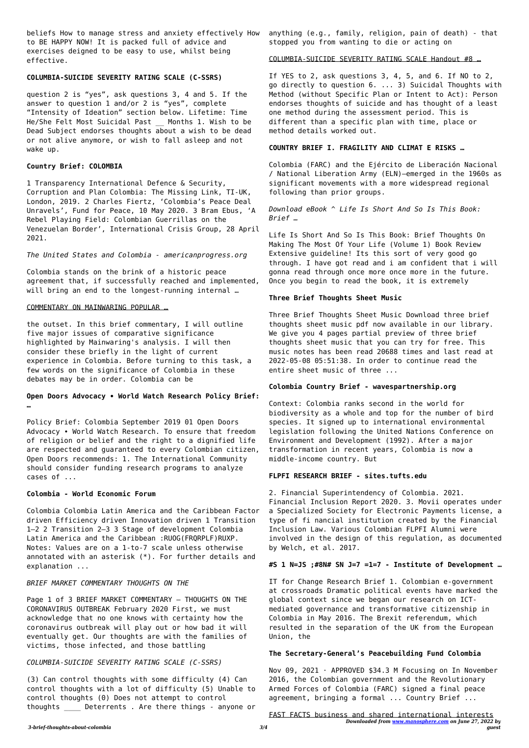beliefs How to manage stress and anxiety effectively How to BE HAPPY NOW! It is packed full of advice and exercises deigned to be easy to use, whilst being effective.

# **COLUMBIA-SUICIDE SEVERITY RATING SCALE (C-SSRS)**

question 2 is "yes", ask questions 3, 4 and 5. If the answer to question 1 and/or 2 is "yes", complete "Intensity of Ideation" section below. Lifetime: Time He/She Felt Most Suicidal Past Months 1. Wish to be Dead Subject endorses thoughts about a wish to be dead or not alive anymore, or wish to fall asleep and not wake up.

Colombia stands on the brink of a historic peace agreement that, if successfully reached and implemented, will bring an end to the longest-running internal ...

#### **Country Brief: COLOMBIA**

1 Transparency International Defence & Security, Corruption and Plan Colombia: The Missing Link, TI-UK, London, 2019. 2 Charles Fiertz, 'Colombia's Peace Deal Unravels', Fund for Peace, 10 May 2020. 3 Bram Ebus, 'A Rebel Playing Field: Colombian Guerrillas on the Venezuelan Border', International Crisis Group, 28 April 2021.

*The United States and Colombia - americanprogress.org*

#### COMMENTARY ON MAINWARING POPULAR …

the outset. In this brief commentary, I will outline five major issues of comparative significance highlighted by Mainwaring's analysis. I will then consider these briefly in the light of current experience in Colombia. Before turning to this task, a few words on the significance of Colombia in these debates may be in order. Colombia can be

# **Open Doors Advocacy ∙ World Watch Research Policy Brief: …**

Policy Brief: Colombia September 2019 01 Open Doors Advocacy ∙ World Watch Research. To ensure that freedom of religion or belief and the right to a dignified life are respected and guaranteed to every Colombian citizen, Open Doors recommends: 1. The International Community should consider funding research programs to analyze cases of ...

# **Colombia - World Economic Forum**

Colombia Colombia Latin America and the Caribbean Factor driven Efficiency driven Innovation driven 1 Transition 1–2 2 Transition 2–3 3 Stage of development Colombia Latin America and the Caribbean :RUOG(FRQRPLF)RUXP. Notes: Values are on a 1-to-7 scale unless otherwise annotated with an asterisk (\*). For further details and explanation ...

#### *BRIEF MARKET COMMENTARY THOUGHTS ON THE*

Page 1 of 3 BRIEF MARKET COMMENTARY – THOUGHTS ON THE CORONAVIRUS OUTBREAK February 2020 First, we must acknowledge that no one knows with certainty how the coronavirus outbreak will play out or how bad it will eventually get. Our thoughts are with the families of victims, those infected, and those battling

# *COLUMBIA-SUICIDE SEVERITY RATING SCALE (C-SSRS)*

(3) Can control thoughts with some difficulty (4) Can control thoughts with a lot of difficulty (5) Unable to control thoughts (0) Does not attempt to control thoughts \_\_\_\_ Deterrents . Are there things - anyone or

*Downloaded from [www.manosphere.com](https://www.manosphere.com) on June 27, 2022 by guest* FAST FACTS business and shared international interests

anything (e.g., family, religion, pain of death) - that stopped you from wanting to die or acting on

COLUMBIA-SUICIDE SEVERITY RATING SCALE Handout #8 …

If YES to 2, ask questions 3, 4, 5, and 6. If NO to 2, go directly to question 6. ... 3) Suicidal Thoughts with Method (without Specific Plan or Intent to Act): Person endorses thoughts of suicide and has thought of a least one method during the assessment period. This is different than a specific plan with time, place or method details worked out.

#### **COUNTRY BRIEF I. FRAGILITY AND CLIMAT E RISKS …**

Colombia (FARC) and the Ejército de Liberación Nacional / National Liberation Army (ELN)—emerged in the 1960s as significant movements with a more widespread regional following than prior groups.

*Download eBook ^ Life Is Short And So Is This Book: Brief …*

Life Is Short And So Is This Book: Brief Thoughts On Making The Most Of Your Life (Volume 1) Book Review Extensive guideline! Its this sort of very good go through. I have got read and i am confident that i will gonna read through once more once more in the future. Once you begin to read the book, it is extremely

# **Three Brief Thoughts Sheet Music**

Three Brief Thoughts Sheet Music Download three brief thoughts sheet music pdf now available in our library. We give you 4 pages partial preview of three brief thoughts sheet music that you can try for free. This music notes has been read 20688 times and last read at 2022-05-08 05:51:38. In order to continue read the entire sheet music of three ...

# **Colombia Country Brief - wavespartnership.org**

Context: Colombia ranks second in the world for biodiversity as a whole and top for the number of bird species. It signed up to international environmental legislation following the United Nations Conference on Environment and Development (1992). After a major transformation in recent years, Colombia is now a middle-income country. But

#### **FLPFI RESEARCH BRIEF - sites.tufts.edu**

2. Financial Superintendency of Colombia. 2021. Financial Inclusion Report 2020. 3. Movii operates under a Specialized Society for Electronic Payments license, a type of fi nancial institution created by the Financial Inclusion Law. Various Colombian FLPFI Alumni were involved in the design of this regulation, as documented by Welch, et al. 2017.

**#S 1 N=JS ;#8N# SN J=7 =1=7 - Institute of Development …**

IT for Change Research Brief 1. Colombian e-government at crossroads Dramatic political events have marked the global context since we began our research on ICTmediated governance and transformative citizenship in Colombia in May 2016. The Brexit referendum, which resulted in the separation of the UK from the European Union, the

# **The Secretary-General's Peacebuilding Fund Colombia**

Nov 09, 2021 · APPROVED \$34.3 M Focusing on In November 2016, the Colombian government and the Revolutionary Armed Forces of Colombia (FARC) signed a final peace agreement, bringing a formal ... Country Brief ...